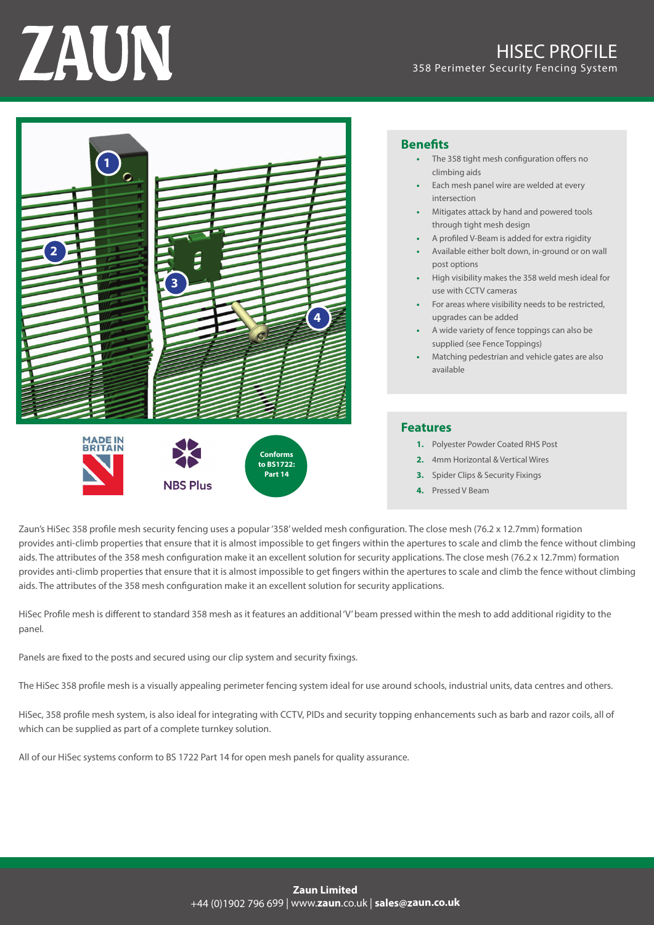# ZAUN



- **Benefits**<br>**•** The 358 tight mesh configuration offers no climbing aids
	- Each mesh panel wire are welded at every intersection
	- Mitigates attack by hand and powered tools through tight mesh design
	- A profiled V-Beam is added for extra rigidity
	- Available either bolt down, in-ground or on wall post options
	- High visibility makes the 358 weld mesh ideal for use with CCTV cameras
	- For areas where visibility needs to be restricted, upgrades can be added
	- A wide variety of fence toppings can also be supplied (see Fence Toppings)
	- Matching pedestrian and vehicle gates are also available

## **Features**

- 1. Polyester Powder Coated RHS Post
- **2.** 4mm Horizontal & Vertical Wires
- **3.** Spider Clips & Security Fixings
- **4.** Pressed V Beam

Zaun's HiSec 358 profile mesh security fencing uses a popular '358' welded mesh configuration. The close mesh (76.2 x 12.7mm) formation provides anti-climb properties that ensure that it is almost impossible to get fingers within the apertures to scale and climb the fence without climbing aids. The attributes of the 358 mesh configuration make it an excellent solution for security applications. The close mesh (76.2 x 12.7mm) formation provides anti-climb properties that ensure that it is almost impossible to get fingers within the apertures to scale and climb the fence without climbing aids. The attributes of the 358 mesh configuration make it an excellent solution for security applications.

HiSec Profile mesh is different to standard 358 mesh as it features an additional 'V' beam pressed within the mesh to add additional rigidity to the .panel

Panels are fixed to the posts and secured using our clip system and security fixings.

The HiSec 358 profile mesh is a visually appealing perimeter fencing system ideal for use around schools, industrial units, data centres and others.

HiSec, 358 profile mesh system, is also ideal for integrating with CCTV, PIDs and security topping enhancements such as barb and razor coils, all of which can be supplied as part of a complete turnkey solution.

All of our HiSec systems conform to BS 1722 Part 14 for open mesh panels for quality assurance.